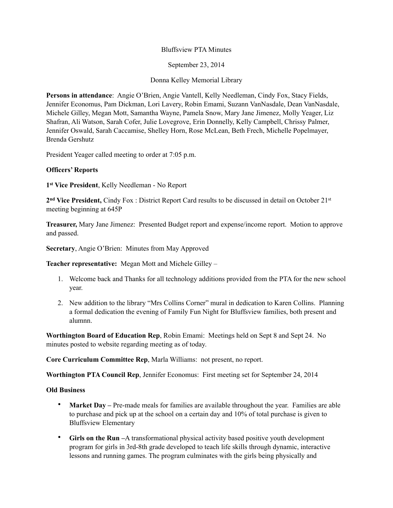# Bluffsview PTA Minutes

September 23, 2014

Donna Kelley Memorial Library

**Persons in attendance**: Angie O'Brien, Angie Vantell, Kelly Needleman, Cindy Fox, Stacy Fields, Jennifer Economus, Pam Dickman, Lori Lavery, Robin Emami, Suzann VanNasdale, Dean VanNasdale, Michele Gilley, Megan Mott, Samantha Wayne, Pamela Snow, Mary Jane Jimenez, Molly Yeager, Liz Shafran, Ali Watson, Sarah Cofer, Julie Lovegrove, Erin Donnelly, Kelly Campbell, Chrissy Palmer, Jennifer Oswald, Sarah Caccamise, Shelley Horn, Rose McLean, Beth Frech, Michelle Popelmayer, Brenda Gershutz

President Yeager called meeting to order at 7:05 p.m.

# **Officers' Reports**

**1st Vice President**, Kelly Needleman - No Report

**2nd Vice President,** Cindy Fox : District Report Card results to be discussed in detail on October 21st meeting beginning at 645P

**Treasurer,** Mary Jane Jimenez: Presented Budget report and expense/income report. Motion to approve and passed.

**Secretary**, Angie O'Brien: Minutes from May Approved

**Teacher representative:** Megan Mott and Michele Gilley –

- 1. Welcome back and Thanks for all technology additions provided from the PTA for the new school year.
- 2. New addition to the library "Mrs Collins Corner" mural in dedication to Karen Collins. Planning a formal dedication the evening of Family Fun Night for Bluffsview families, both present and alumnn.

**Worthington Board of Education Rep**, Robin Emami: Meetings held on Sept 8 and Sept 24. No minutes posted to website regarding meeting as of today.

**Core Curriculum Committee Rep**, Marla Williams: not present, no report.

**Worthington PTA Council Rep**, Jennifer Economus: First meeting set for September 24, 2014

### **Old Business**

- **Market Day** Pre-made meals for families are available throughout the year. Families are able to purchase and pick up at the school on a certain day and 10% of total purchase is given to Bluffsview Elementary
- **Girls on the Run –**A transformational physical activity based positive youth development program for girls in 3rd-8th grade developed to teach life skills through dynamic, interactive lessons and running games. The program culminates with the girls being physically and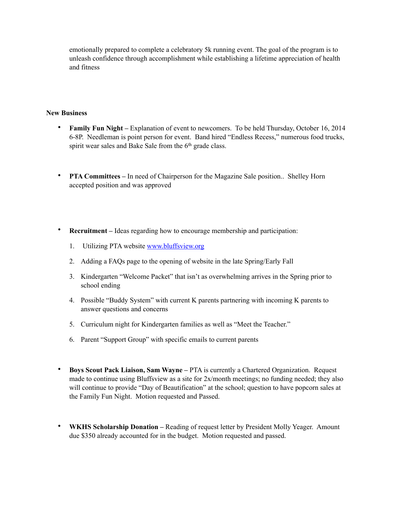emotionally prepared to complete a celebratory 5k running event. The goal of the program is to unleash confidence through accomplishment while establishing a lifetime appreciation of health and fitness

### **New Business**

- **Family Fun Night** Explanation of event to newcomers. To be held Thursday, October 16, 2014 6-8P. Needleman is point person for event. Band hired "Endless Recess," numerous food trucks, spirit wear sales and Bake Sale from the 6<sup>th</sup> grade class.
- **PTA Committees** In need of Chairperson for the Magazine Sale position.. Shelley Horn accepted position and was approved
- **Recruitment** Ideas regarding how to encourage membership and participation:
	- 1. Utilizing PTA website [www.bluffsview.org](http://www.bluffsview.org)
	- 2. Adding a FAQs page to the opening of website in the late Spring/Early Fall
	- 3. Kindergarten "Welcome Packet" that isn't as overwhelming arrives in the Spring prior to school ending
	- 4. Possible "Buddy System" with current K parents partnering with incoming K parents to answer questions and concerns
	- 5. Curriculum night for Kindergarten families as well as "Meet the Teacher."
	- 6. Parent "Support Group" with specific emails to current parents
- **Boys Scout Pack Liaison, Sam Wayne** PTA is currently a Chartered Organization. Request made to continue using Bluffsview as a site for 2x/month meetings; no funding needed; they also will continue to provide "Day of Beautification" at the school; question to have popcorn sales at the Family Fun Night. Motion requested and Passed.
- **WKHS Scholarship Donation** Reading of request letter by President Molly Yeager. Amount due \$350 already accounted for in the budget. Motion requested and passed.